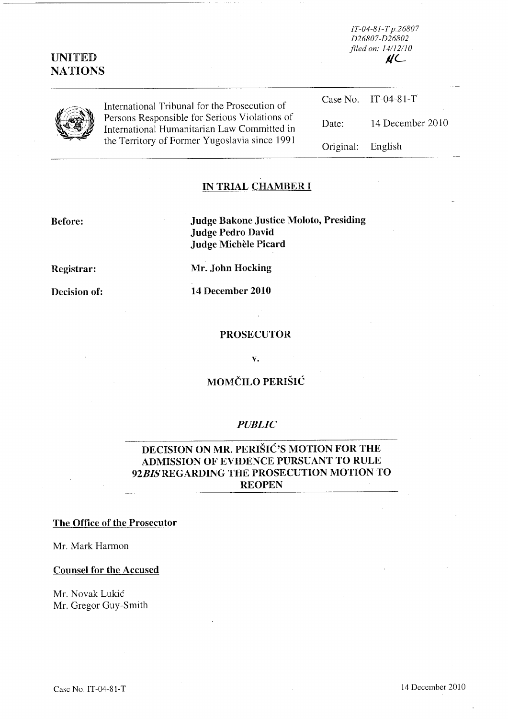# UNITED **NATIONS**

*IT-04-81-T p.26807 D26807-D26802 filed on: 141/2110*   $\mathcal{U}$ 



International Tribunal for the Prosecution of Persons Responsible for Serious Violations of International Humanitarian Law Committed in the Territory of Former Yugoslavia since 1991

|                   | Case No. IT-04-81-T |
|-------------------|---------------------|
| Date:             | 14 December 2010    |
| Original: English |                     |

# IN TRIAL CHAMBER I

Before: Judge Bakone Justice Moloto, Presiding Judge Pedro David Judge Michèle Picard

Registrar:

Mr. John Hocking

Decision of:

14 December 2010

#### PROSECUTOR

v.

## MOMČILO PERIŠIĆ

## *PUBLIC*

# DECISION ON MR. PERIŠIĆ'S MOTION FOR THE ADMISSION OF EVIDENCE PURSUANT TO RULE *92BISREGARDING* THE PROSECUTION MOTION TO REOPEN

## The Office of the Prosecutor

Mr. Mark Harmon

## Counsel for the Accused

Mr. Novak Lukić Mr. Gregor Guy-Smith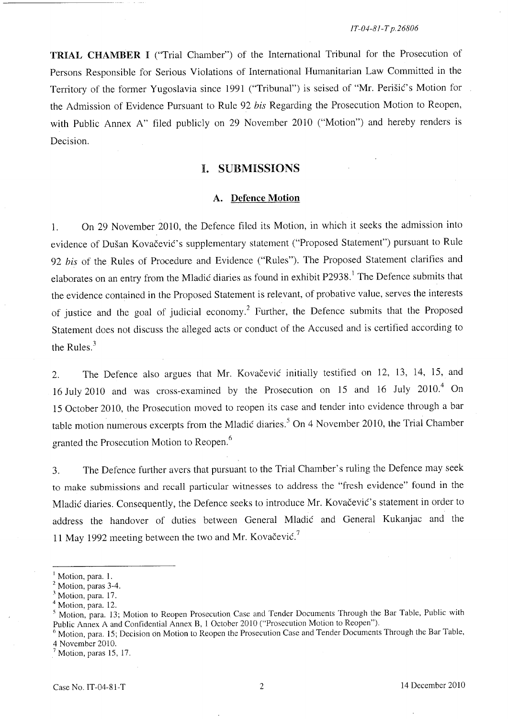TRIAL CHAMBER I ("Trial Chamber") of the International Tribunal for the Prosecution of Persons Responsible for Serious Violations of International Humanitarian Law Committed in the Territory of the former Yugoslavia since 1991 ("Tribunal") is seised of "Mr. Perišić's Motion for the Admission of Evidence Pursuant to Rule 92 *his* Regarding the Prosecution Motion to Reopen, with Public Annex A" filed publicly on 29 November 2010 ("Motion") and hereby renders is Decision.

## I. SUBMISSIONS

## A. Defence **Motion**

l. On 29 November 2010, the Defence filed its Motion, in which it seeks the admission into evidence of Dušan Kovačević's supplementary statement ("Proposed Statement") pursuant to Rule *92 his* of the Rules of Procedure and Evidence ("Rules"). The Proposed Statement clarifies and elaborates on an entry from the Mladić diaries as found in exhibit P2938.<sup>1</sup> The Defence submits that the evidence contained in the Proposed Statement is relevant, of probative value, serves the interests of justice and the goal of judicial economy.2 Further, the Defence submits that the Proposed Statement does not discuss the alleged acts or conduct of the Accused and is certified according to the Rules. <sup>3</sup>

2. The Defence also argues that Mr. Kovačević initially testified on 12, 13, 14, 15, and 16 July 2010 and was cross-examined by the Prosecution on 15 and 16 July 2010.<sup>4</sup> On 15 October 2010, the Prosecution moved to reopen its case and tender into evidence through a bar table motion numerous excerpts from the Mladic diaries.<sup>5</sup> On 4 November 2010, the Trial Chamber granted the Prosecution Motion to Reopen. <sup>6</sup>

3. The Defence further avers that pursuant to the Trial Chamber's ruling the Defence may seek to make submissions and recall particular witnesses to address the "fresh evidence" found in the Mladić diaries. Consequently, the Defence seeks to introduce Mr. Kovačević's statement in order to address the handover of duties between General Mladic and General Kukanjac and the 11 May 1992 meeting between the two and Mr. Kovačević.<sup>7</sup>

Motion, para. 1.

<sup>&</sup>lt;sup>2</sup> Motion, paras 3-4.

<sup>&</sup>lt;sup>3</sup> Motion, para. 17.

<sup>&</sup>lt;sup>4</sup> Motion, para. 12.

<sup>5</sup> Motion, para. 13; Motion to Reopen Prosecution Case and Tender Documents Through the Bar Table, Public with Public Annex A and Confidential Annex B, 1 October 2010 ("Prosecution Motion to Reopen").

<sup>&</sup>lt;sup>6</sup> Motion, para. 15; Decision on Motion to Reopen the Prosecution Case and Tender Documents Through the Bar Table, 4 November 2010.

 $<sup>7</sup>$  Motion, paras 15, 17.</sup>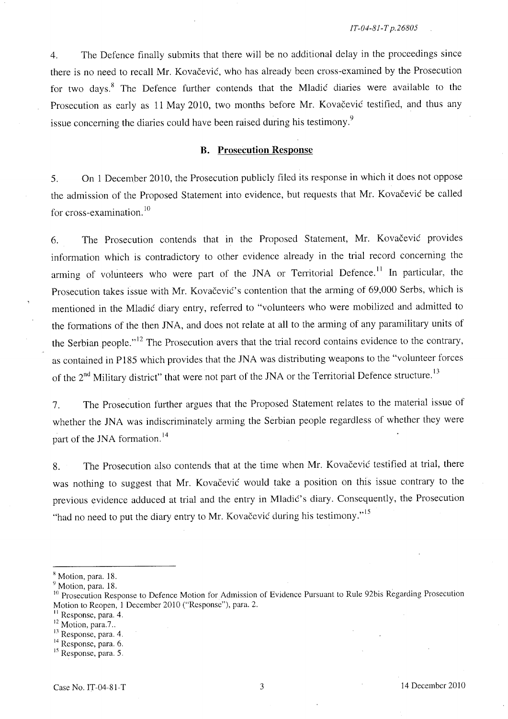4. The Defence finally submits that there will be no additional delay in the proceedings since there is no need to recall Mr. Kovačević, who has already been cross-examined by the Prosecution for two days.<sup>8</sup> The Defence further contends that the Mladic diaries were available to the Prosecution as early as 11 May 2010, two months before Mr. Kovačević testified, and thus any issue concerning the diaries could have been raised during his testimony.<sup>9</sup>

#### **B. Prosecution Response**

5. On 1 December 2010, the Prosecution publicly filed its response in which it does not oppose the admission of the Proposed Statement into evidence, but requests that Mr. Kovačević be called for cross-examination.<sup>10</sup>

6. The Prosecution contends that in the Proposed Statement, Mr. Kovačević provides information which is contradictory to other evidence already in the trial record concerning the arming of volunteers who were part of the JNA or Territorial Defence.<sup>11</sup> In particular, the Prosecution takes issue with Mr. Kovačević's contention that the arming of 69,000 Serbs, which is mentioned in the Mladic diary entry, referred to "volunteers who were mobilized and admitted to the formations of the then JNA, and does not relate at all to the arming of any paramilitary units of the Serbian people.<sup> $,12$ </sup> The Prosecution avers that the trial record contains evidence to the contrary, as contained in P185 which provides that the JNA was distributing weapons to the "volunteer forces of the 2<sup>nd</sup> Military district" that were not part of the JNA or the Territorial Defence structure.<sup>13</sup>

7. The Prosecution further argues that the Proposed Statement relates to the material issue of whether the JNA was indiscriminately arming the Serbian people regardless of whether they were part of the JNA formation.<sup>14</sup>

8. The Prosecution also contends that at the time when Mr. Kovačević testified at trial, there was nothing to suggest that Mr. Kovačević would take a position on this issue contrary to the previous evidence adduced at trial and the entry in Mladic's diary. Consequently, the Prosecution "had no need to put the diary entry to Mr. Kovačević during his testimony."<sup>15</sup>

<sup>&</sup>lt;sup>8</sup> Motion, para. 18.

<sup>&</sup>lt;sup>9</sup> Motion, para. 18.

<sup>&</sup>lt;sup>10</sup> Prosecution Response to Defence Motion for Admission of Evidence Pursuant to Rule 92bis Regarding Prosecution Motion to Reopen, 1 December 2010 ("Response"), para. 2.

<sup>&</sup>lt;sup>11</sup> Response, para. 4.

<sup>&</sup>lt;sup>12</sup> Motion, para.7..

<sup>13</sup> Response, para. 4.

<sup>&</sup>lt;sup>14</sup> Response, para. 6.

<sup>&</sup>lt;sup>15</sup> Response, para. 5.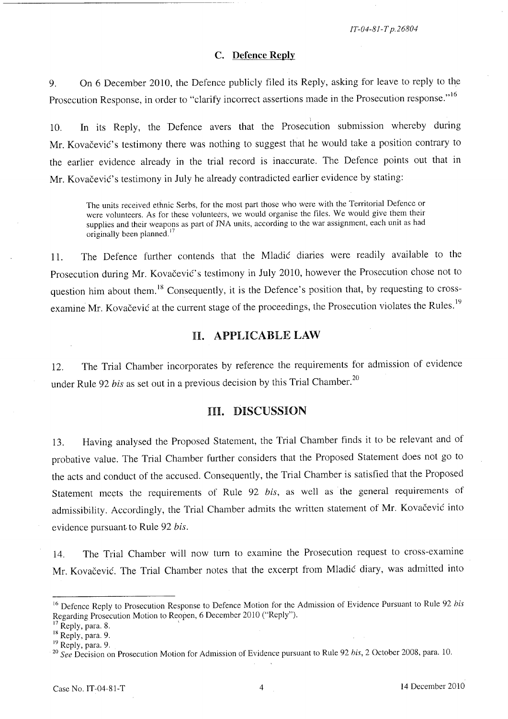*IT-04-81-T p.26804* 

### C. Defence Reply

9. On 6 December 2010, the Defence publicly filed its Reply, asking for leave to reply to the Prosecution Response, in order to "clarify incorrect assertions made in the Prosecution response."<sup>16</sup>

10. In its Reply, the Defence avers that the Prosecution submission whereby during Mr. Kovačević's testimony there was nothing to suggest that he would take a position contrary to the earlier evidence already in the trial record is inaccurate. The Defence points out that in Mr. Kovačević's testimony in July he already contradicted earlier evidence by stating:

The units received ethnic Serbs, for the most part those who were with the Territorial Defence or were volunteers. As for these volunteers, we would organise the files. We would give them their supplies and their weapons as part of JNA units, according to the war assignment, each unit as had originally been planned.<sup>17</sup>

11. The Defence further contends that the Mladic diaries were readily available to the Prosecution during Mr. Kovačević's testimony in July 2010, however the Prosecution chose not to question him about them.<sup>18</sup> Consequently, it is the Defence's position that, by requesting to crossexamine Mr. Kovačević at the current stage of the proceedings, the Prosecution violates the Rules.<sup>19</sup>

## H. APPLICABLE LAW

12. The Trial Chamber incorporates by reference the requirements for admission of evidence under Rule 92 *bis* as set out in a previous decision by this Trial Chamber.<sup>20</sup>

## nI. DISCUSSION

13. Having analysed the Proposed Statement, the Trial Chamber finds it to be relevant and of probative value. The Trial Chamber further considers that the Proposed Statement does not go to the acts and conduct of the accused. Consequently, the Trial Chamber is satisfied that the Proposed Statement meets the requirements of Rule 92 *his,* as well as the general requirements of admissibility. Accordingly, the Trial Chamber admits the written statement of Mr. Kovačević into evidence pursuant. to Rule 92 *his.* 

14. The Trial Chamber will now turn to examine the Prosecution request to cross-examme Mr. Kovačević. The Trial Chamber notes that the excerpt from Mladić diary, was admitted into

<sup>&</sup>lt;sup>16</sup> Defence Reply to Prosecution Response to Defence Motion for the Admission of Evidence Pursuant to Rule 92 *his* Regarding Prosecution Motion to Reopen, 6 December 2010 ("Reply").

 $^7$  Reply, para. 8.

<sup>&</sup>lt;sup>18</sup> Reply, para. 9.

<sup>&</sup>lt;sup>19</sup> Reply, para. 9.

<sup>20</sup>*See* Decision on Prosecution Motion for Admission of Evidence pursuant to Rule 92 *his,* 2 October 200S, para. 10.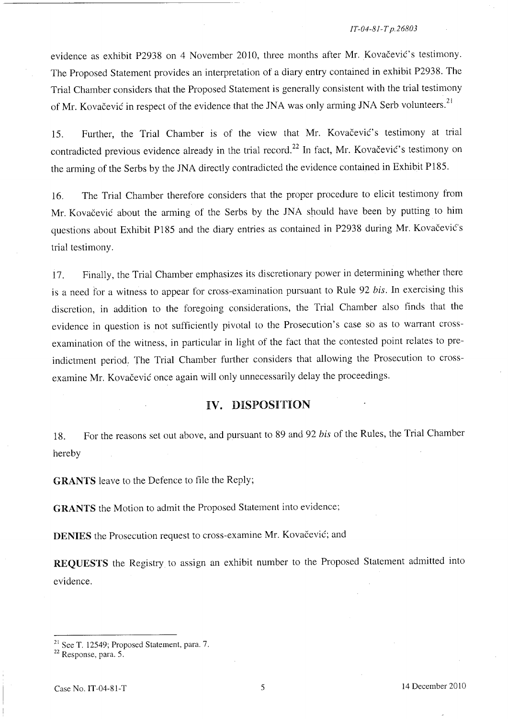#### *IT-04-81-T p.26803*

evidence as exhibit P2938 on 4 November 2010, three months after Mr. Kovačević's testimony. The Proposed Statement provides an interpretation of a diary entry contained in exhibit P2938. The Trial Chamber considers that the Proposed Statement is generally consistent with the trial testimony of Mr. Kovačević in respect of the evidence that the JNA was only arming JNA Serb volunteers.  $21$ 

15. Further, the Trial Chamber is of the view that Mr. Kovačević's testimony at trial contradicted previous evidence already in the trial record.<sup>22</sup> In fact, Mr. Kovačević's testimony on the arming of the Serbs by the JNA directly contradicted the evidence contained in Exhibit PI8S.

16. The Trial Chamber therefore considers that the proper procedure to elicit testimony from Mr. Kovačević about the arming of the Serbs by the JNA should have been by putting to him questions about Exhibit P185 and the diary entries as contained in P2938 during Mr. Kovačević's trial testimony.

17. Finally, the Trial Chamber emphasizes its discretionary power in determining whether there is a need for a witness to appear for cross-examination pursuant to Rule 92 *his.* In exercising this discretion, in addition to the foregoing considerations, the Trial Chamber also finds that the evidence in question is not sufficiently pivotal to the Prosecution's case so as to warrant crossexamination of the witness, in particular in light of the fact that the contested point relates to preindictment period. The Trial Chamber further considers that allowing the Prosecution to crossexamine Mr. Kovačević once again will only unnecessarily delay the proceedings.

# **IV.** DISPOSITION

18. For the reasons set out above, and pursuant to 89 and 92 *his* of the Rules, the Trial Chamber hereby

GRANTS leave to the Defence to file the Reply;

GRANTS the Motion to admit the Proposed Statement into evidence;

DENIES the Prosecution request to cross-examine Mr. Kovačević; and

REQUESTS the Registry to assign an exhibit number to the Proposed Statement admitted into evidence.

<sup>21</sup> See T. 12549; Proposed Statement, para. 7.

 $22$  Response, para. 5.